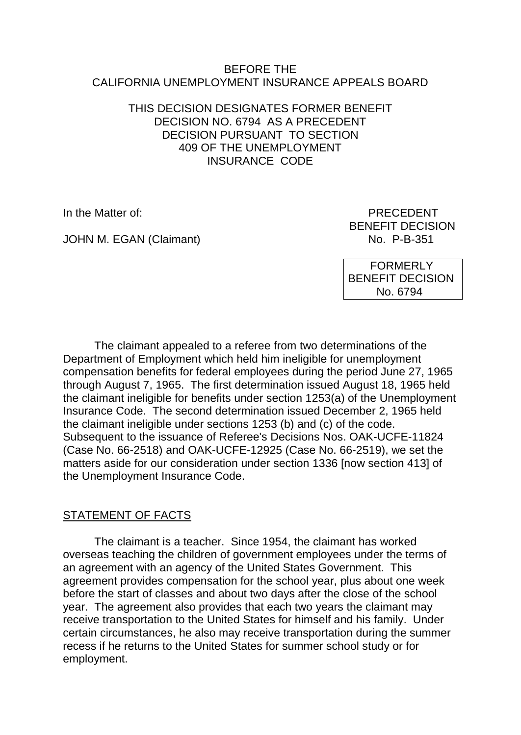#### BEFORE THE CALIFORNIA UNEMPLOYMENT INSURANCE APPEALS BOARD

## THIS DECISION DESIGNATES FORMER BENEFIT DECISION NO. 6794 AS A PRECEDENT DECISION PURSUANT TO SECTION 409 OF THE UNEMPLOYMENT INSURANCE CODE

JOHN M. EGAN (Claimant) No. P-B-351

In the Matter of: PRECEDENT BENEFIT DECISION

> FORMERLY BENEFIT DECISION No. 6794

The claimant appealed to a referee from two determinations of the Department of Employment which held him ineligible for unemployment compensation benefits for federal employees during the period June 27, 1965 through August 7, 1965. The first determination issued August 18, 1965 held the claimant ineligible for benefits under section 1253(a) of the Unemployment Insurance Code. The second determination issued December 2, 1965 held the claimant ineligible under sections 1253 (b) and (c) of the code. Subsequent to the issuance of Referee's Decisions Nos. OAK-UCFE-11824 (Case No. 66-2518) and OAK-UCFE-12925 (Case No. 66-2519), we set the matters aside for our consideration under section 1336 [now section 413] of the Unemployment Insurance Code.

# STATEMENT OF FACTS

The claimant is a teacher. Since 1954, the claimant has worked overseas teaching the children of government employees under the terms of an agreement with an agency of the United States Government. This agreement provides compensation for the school year, plus about one week before the start of classes and about two days after the close of the school year. The agreement also provides that each two years the claimant may receive transportation to the United States for himself and his family. Under certain circumstances, he also may receive transportation during the summer recess if he returns to the United States for summer school study or for employment.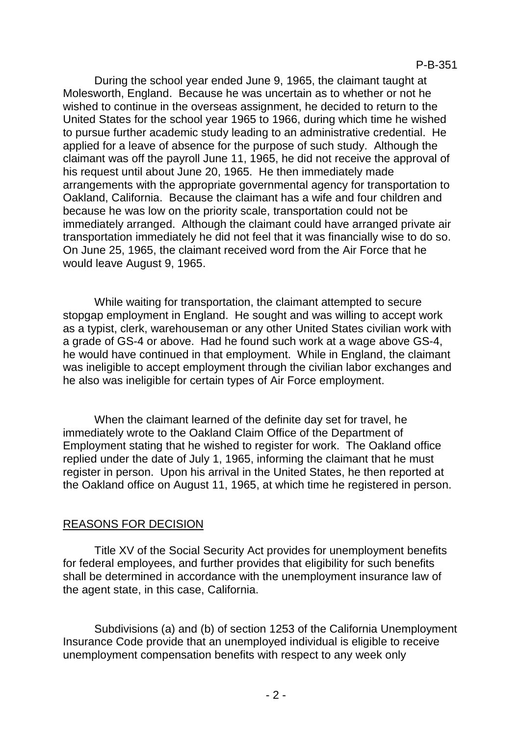During the school year ended June 9, 1965, the claimant taught at Molesworth, England. Because he was uncertain as to whether or not he wished to continue in the overseas assignment, he decided to return to the United States for the school year 1965 to 1966, during which time he wished to pursue further academic study leading to an administrative credential. He applied for a leave of absence for the purpose of such study. Although the claimant was off the payroll June 11, 1965, he did not receive the approval of his request until about June 20, 1965. He then immediately made arrangements with the appropriate governmental agency for transportation to Oakland, California. Because the claimant has a wife and four children and because he was low on the priority scale, transportation could not be immediately arranged. Although the claimant could have arranged private air transportation immediately he did not feel that it was financially wise to do so. On June 25, 1965, the claimant received word from the Air Force that he would leave August 9, 1965.

While waiting for transportation, the claimant attempted to secure stopgap employment in England. He sought and was willing to accept work as a typist, clerk, warehouseman or any other United States civilian work with a grade of GS-4 or above. Had he found such work at a wage above GS-4, he would have continued in that employment. While in England, the claimant was ineligible to accept employment through the civilian labor exchanges and he also was ineligible for certain types of Air Force employment.

When the claimant learned of the definite day set for travel, he immediately wrote to the Oakland Claim Office of the Department of Employment stating that he wished to register for work. The Oakland office replied under the date of July 1, 1965, informing the claimant that he must register in person. Upon his arrival in the United States, he then reported at the Oakland office on August 11, 1965, at which time he registered in person.

## REASONS FOR DECISION

Title XV of the Social Security Act provides for unemployment benefits for federal employees, and further provides that eligibility for such benefits shall be determined in accordance with the unemployment insurance law of the agent state, in this case, California.

Subdivisions (a) and (b) of section 1253 of the California Unemployment Insurance Code provide that an unemployed individual is eligible to receive unemployment compensation benefits with respect to any week only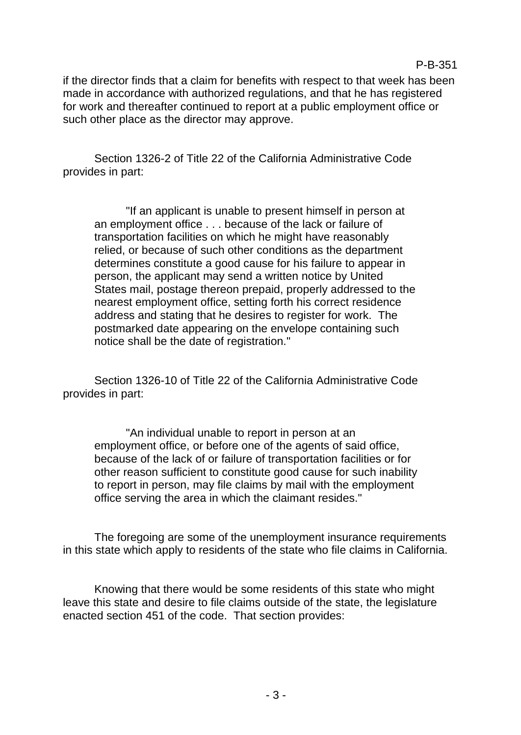if the director finds that a claim for benefits with respect to that week has been made in accordance with authorized regulations, and that he has registered for work and thereafter continued to report at a public employment office or such other place as the director may approve.

P-B-351

Section 1326-2 of Title 22 of the California Administrative Code provides in part:

"If an applicant is unable to present himself in person at an employment office . . . because of the lack or failure of transportation facilities on which he might have reasonably relied, or because of such other conditions as the department determines constitute a good cause for his failure to appear in person, the applicant may send a written notice by United States mail, postage thereon prepaid, properly addressed to the nearest employment office, setting forth his correct residence address and stating that he desires to register for work. The postmarked date appearing on the envelope containing such notice shall be the date of registration."

Section 1326-10 of Title 22 of the California Administrative Code provides in part:

"An individual unable to report in person at an employment office, or before one of the agents of said office, because of the lack of or failure of transportation facilities or for other reason sufficient to constitute good cause for such inability to report in person, may file claims by mail with the employment office serving the area in which the claimant resides."

The foregoing are some of the unemployment insurance requirements in this state which apply to residents of the state who file claims in California.

Knowing that there would be some residents of this state who might leave this state and desire to file claims outside of the state, the legislature enacted section 451 of the code. That section provides: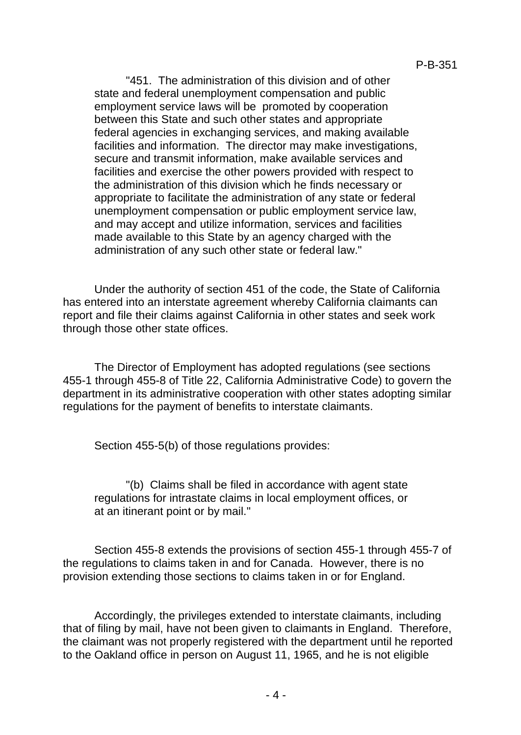"451. The administration of this division and of other state and federal unemployment compensation and public employment service laws will be promoted by cooperation between this State and such other states and appropriate federal agencies in exchanging services, and making available facilities and information. The director may make investigations, secure and transmit information, make available services and facilities and exercise the other powers provided with respect to the administration of this division which he finds necessary or appropriate to facilitate the administration of any state or federal unemployment compensation or public employment service law, and may accept and utilize information, services and facilities made available to this State by an agency charged with the administration of any such other state or federal law."

Under the authority of section 451 of the code, the State of California has entered into an interstate agreement whereby California claimants can report and file their claims against California in other states and seek work through those other state offices.

The Director of Employment has adopted regulations (see sections 455-1 through 455-8 of Title 22, California Administrative Code) to govern the department in its administrative cooperation with other states adopting similar regulations for the payment of benefits to interstate claimants.

Section 455-5(b) of those regulations provides:

"(b) Claims shall be filed in accordance with agent state regulations for intrastate claims in local employment offices, or at an itinerant point or by mail."

Section 455-8 extends the provisions of section 455-1 through 455-7 of the regulations to claims taken in and for Canada. However, there is no provision extending those sections to claims taken in or for England.

Accordingly, the privileges extended to interstate claimants, including that of filing by mail, have not been given to claimants in England. Therefore, the claimant was not properly registered with the department until he reported to the Oakland office in person on August 11, 1965, and he is not eligible